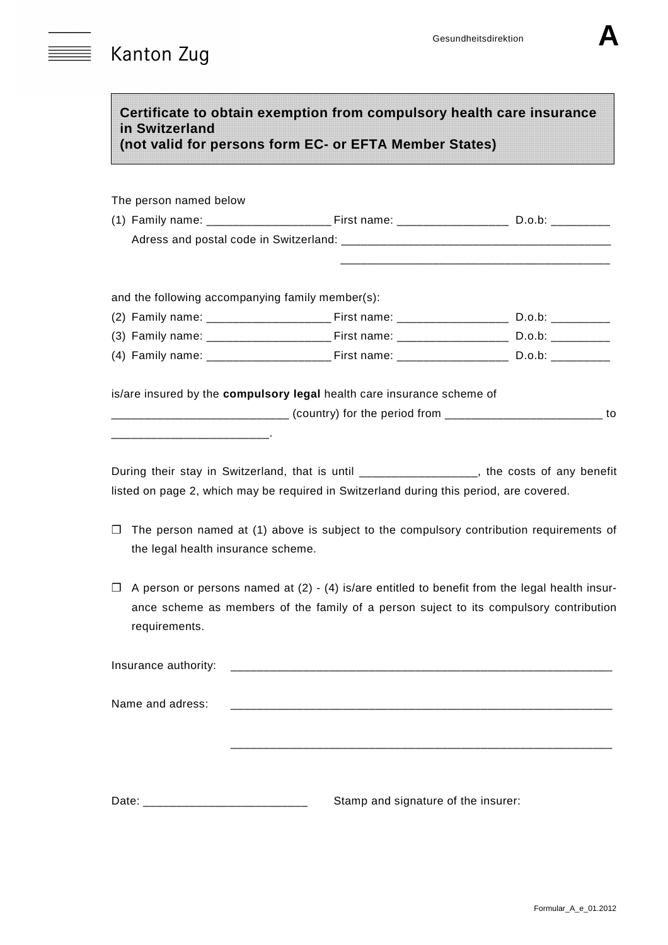**A**



 $\equiv$ 

| (not valid for persons form EC- or EFTA Member States) |                                                                                                                                                                                              |  |
|--------------------------------------------------------|----------------------------------------------------------------------------------------------------------------------------------------------------------------------------------------------|--|
| The person named below                                 |                                                                                                                                                                                              |  |
|                                                        |                                                                                                                                                                                              |  |
|                                                        |                                                                                                                                                                                              |  |
| and the following accompanying family member(s):       |                                                                                                                                                                                              |  |
|                                                        |                                                                                                                                                                                              |  |
|                                                        |                                                                                                                                                                                              |  |
|                                                        |                                                                                                                                                                                              |  |
| ______________________________                         | During their stay in Switzerland, that is until __________________, the costs of any benefit                                                                                                 |  |
| $\Box$<br>the legal health insurance scheme.           | listed on page 2, which may be required in Switzerland during this period, are covered.<br>The person named at (1) above is subject to the compulsory contribution requirements of           |  |
| $\Box$<br>requirements.                                | A person or persons named at $(2)$ - $(4)$ is/are entitled to benefit from the legal health insur-<br>ance scheme as members of the family of a person suject to its compulsory contribution |  |
| Insurance authority:                                   |                                                                                                                                                                                              |  |
| Name and adress:                                       |                                                                                                                                                                                              |  |